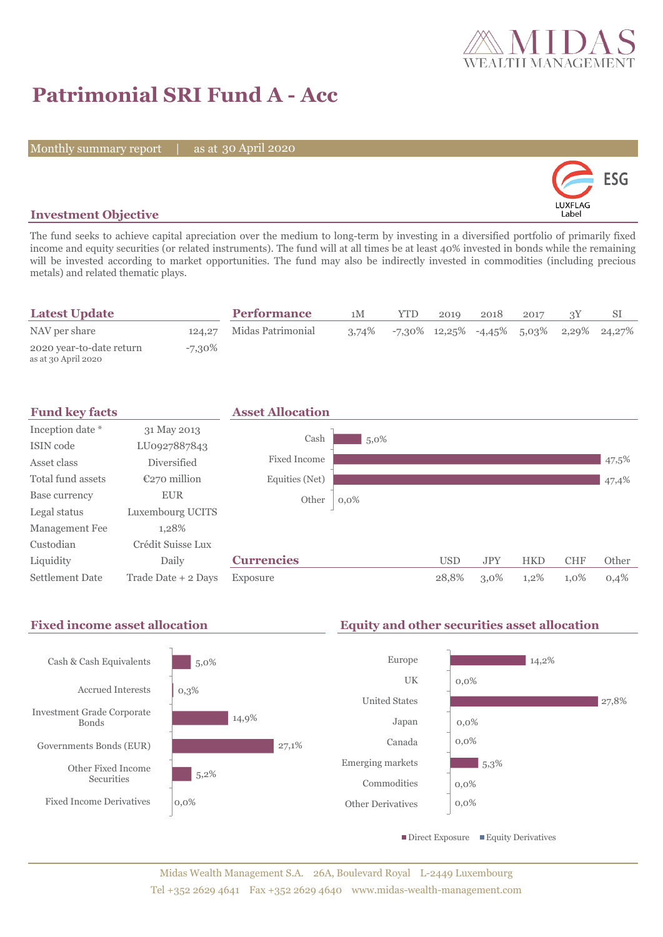

## **Patrimonial SRI Fund A - Acc**

Monthly summary report | as at 30 April 2020



## **Investment Objective**

The fund seeks to achieve capital apreciation over the medium to long-term by investing in a diversified portfolio of primarily fixed income and equity securities (or related instruments). The fund will at all times be at least 40% invested in bonds while the remaining will be invested according to market opportunities. The fund may also be indirectly invested in commodities (including precious metals) and related thematic plays.

| <b>Latest Update</b>                            |        | <b>Performance</b>       | 1M    | <b>YTD</b>                                    | 2019 | 2018 | 2017 |  |
|-------------------------------------------------|--------|--------------------------|-------|-----------------------------------------------|------|------|------|--|
| NAV per share                                   |        | 124,27 Midas Patrimonial | 3.74% | $-7,30\%$ 12,25% $-4,45\%$ 5,03% 2,29% 24,27% |      |      |      |  |
| 2020 year-to-date return<br>as at 30 April 2020 | -7,30% |                          |       |                                               |      |      |      |  |

| <b>Fund key facts</b>  |                     | <b>Asset Allocation</b> |         |            |            |            |            |       |
|------------------------|---------------------|-------------------------|---------|------------|------------|------------|------------|-------|
| Inception date *       | 31 May 2013         |                         |         |            |            |            |            |       |
| ISIN code              | LU0927887843        | Cash                    | $5,0\%$ |            |            |            |            |       |
| Asset class            | <b>Diversified</b>  | Fixed Income            |         |            |            |            |            | 47,5% |
| Total fund assets      | $E270$ million      | Equities (Net)          |         |            |            |            |            | 47,4% |
| Base currency          | <b>EUR</b>          | Other                   | $0,0\%$ |            |            |            |            |       |
| Legal status           | Luxembourg UCITS    |                         |         |            |            |            |            |       |
| Management Fee         | 1.28%               |                         |         |            |            |            |            |       |
| Custodian              | Crédit Suisse Lux   |                         |         |            |            |            |            |       |
| Liquidity              | Daily               | <b>Currencies</b>       |         | <b>USD</b> | <b>JPY</b> | <b>HKD</b> | <b>CHF</b> | Other |
| <b>Settlement Date</b> | Trade Date + 2 Days | Exposure                |         | 28.8%      | $3,0\%$    | $1,2\%$    | 1,0%       | 0,4%  |

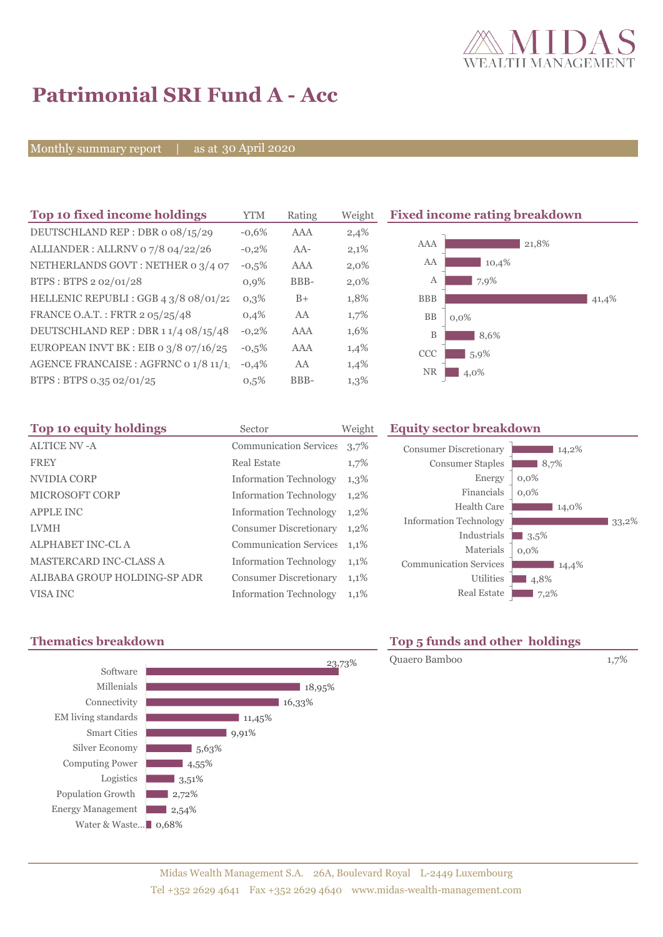

# **Patrimonial SRI Fund A - Acc**

Monthly summary report | as at 30 April 2020

| Top 10 fixed income holdings            | <b>YTM</b> | Rating | Weight | <b>Fixe</b> |
|-----------------------------------------|------------|--------|--------|-------------|
| DEUTSCHLAND REP: DBR o 08/15/29         | $-0.6%$    | AAA    | 2,4%   |             |
| ALLIANDER: ALLRNV 07/8 04/22/26         | $-0,2%$    | $AA-$  | 2,1%   |             |
| NETHERLANDS GOVT: NETHER 0 3/4 07       | $-0,5%$    | AAA    | 2,0%   |             |
| BTPS: BTPS 2 02/01/28                   | $0,9\%$    | BBB-   | 2,0%   |             |
| HELLENIC REPUBLI : GGB 4 3/8 08/01/22   | $0.3\%$    | $B+$   | 1,8%   |             |
| FRANCE O.A.T.: FRTR 2 05/25/48          | 0.4%       | AA     | 1,7%   |             |
| DEUTSCHLAND REP: DBR 11/4 08/15/48      | $-0,2%$    | AAA    | 1,6%   |             |
| EUROPEAN INVT BK : EIB o $3/8$ o7/16/25 | $-0.5%$    | AAA    | 1,4%   |             |
| AGENCE FRANCAISE : AGFRNC 0 1/8 11/1    | $-0,4%$    | AA     | 1,4%   |             |
| BTPS: BTPS 0.35 02/01/25                | 0.5%       | BBB-   | 1,3%   |             |
|                                         |            |        |        |             |

#### **The 10 fixed income rating breakdown**



| Top 10 equity holdings        | Sector                        | Weight  |
|-------------------------------|-------------------------------|---------|
| <b>ALTICE NV-A</b>            | <b>Communication Services</b> | 3,7%    |
| <b>FREY</b>                   | <b>Real Estate</b>            | 1,7%    |
| NVIDIA CORP                   | <b>Information Technology</b> | 1,3%    |
| <b>MICROSOFT CORP</b>         | <b>Information Technology</b> | 1,2%    |
| <b>APPLE INC</b>              | <b>Information Technology</b> | 1,2%    |
| <b>LVMH</b>                   | <b>Consumer Discretionary</b> | $1,2\%$ |
| <b>ALPHABET INC-CL A</b>      | <b>Communication Services</b> | 1,1%    |
| <b>MASTERCARD INC-CLASS A</b> | <b>Information Technology</b> | 1,1%    |
| ALIBABA GROUP HOLDING-SP ADR  | <b>Consumer Discretionary</b> | 1,1%    |
| VISA INC                      | <b>Information Technology</b> | 1,1%    |

## **Equity sector breakdown**

| <b>Consumer Discretionary</b> | 14,2%   |
|-------------------------------|---------|
| <b>Consumer Staples</b>       | 8,7%    |
| Energy                        | $0,0\%$ |
| Financials                    | $0.0\%$ |
| Health Care                   | 14,0%   |
| <b>Information Technology</b> | 33,2%   |
| Industrials                   | 3.5%    |
| Materials                     | $0.0\%$ |
| <b>Communication Services</b> | 14,4%   |
| Utilities                     | 4,8%    |
| <b>Real Estate</b>            | 7,2%    |





## **Thematics breakdown Top 5 funds and other holdings**

Quaero Bamboo 1,7%